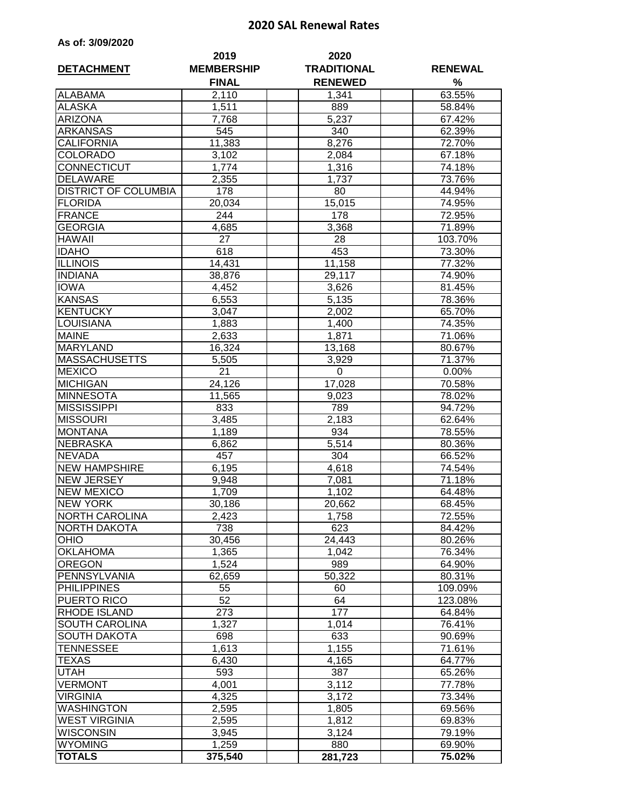## **2020 SAL Renewal Rates**

|  |  |  | As of: 3/09/2020 |
|--|--|--|------------------|
|--|--|--|------------------|

| <b>DETACHMENT</b>           | 2019<br><b>MEMBERSHIP</b> | 2020<br><b>TRADITIONAL</b> | <b>RENEWAL</b> |
|-----------------------------|---------------------------|----------------------------|----------------|
|                             | <b>FINAL</b>              | <b>RENEWED</b>             | %              |
| <b>ALABAMA</b>              | 2,110                     | 1,341                      | 63.55%         |
| <b>ALASKA</b>               | 1,511                     | 889                        | 58.84%         |
| <b>ARIZONA</b>              | 7,768                     | 5,237                      | 67.42%         |
| <b>ARKANSAS</b>             | 545                       | 340                        | 62.39%         |
| <b>CALIFORNIA</b>           | 11,383                    | 8,276                      | 72.70%         |
| <b>COLORADO</b>             | 3,102                     | 2,084                      | 67.18%         |
| CONNECTICUT                 | 1,774                     | 1,316                      | 74.18%         |
| <b>DELAWARE</b>             | 2,355                     | 1,737                      | 73.76%         |
| <b>DISTRICT OF COLUMBIA</b> | 178                       | 80                         | 44.94%         |
| <b>FLORIDA</b>              | 20,034                    | 15,015                     | 74.95%         |
| <b>FRANCE</b>               | 244                       | 178                        | 72.95%         |
| <b>GEORGIA</b>              | 4,685                     | 3,368                      | 71.89%         |
| <b>HAWAII</b>               | 27                        | 28                         | 103.70%        |
| <b>IDAHO</b>                | 618                       | 453                        | 73.30%         |
| <b>ILLINOIS</b>             | 14,431                    | 11,158                     | 77.32%         |
| <b>INDIANA</b>              | 38,876                    | 29,117                     | 74.90%         |
| <b>IOWA</b>                 | 4,452                     | 3,626                      | 81.45%         |
| <b>KANSAS</b>               | 6,553                     | 5,135                      | 78.36%         |
| <b>KENTUCKY</b>             | 3,047                     | 2,002                      | 65.70%         |
| LOUISIANA                   | 1,883                     | 1,400                      | 74.35%         |
| <b>MAINE</b>                | 2,633                     | 1,871                      | 71.06%         |
| <b>MARYLAND</b>             | 16,324                    | 13,168                     | 80.67%         |
| <b>MASSACHUSETTS</b>        | 5,505                     | 3,929                      | 71.37%         |
| <b>MEXICO</b>               | 21                        | 0                          | 0.00%          |
| <b>MICHIGAN</b>             | 24,126                    | 17,028                     | 70.58%         |
| <b>MINNESOTA</b>            | 11,565                    | 9,023                      | 78.02%         |
| <b>MISSISSIPPI</b>          | 833                       | 789                        | 94.72%         |
| <b>MISSOURI</b>             | 3,485                     | 2,183                      | 62.64%         |
| <b>MONTANA</b>              | 1,189                     | 934                        | 78.55%         |
| <b>NEBRASKA</b>             | 6,862                     | 5,514                      | 80.36%         |
| <b>NEVADA</b>               | 457                       | 304                        | 66.52%         |
| <b>NEW HAMPSHIRE</b>        | 6,195                     | 4,618                      | 74.54%         |
| <b>NEW JERSEY</b>           | 9,948                     | 7,081                      | 71.18%         |
| <b>NEW MEXICO</b>           | 1,709                     | 1,102                      | 64.48%         |
| <b>NEW YORK</b>             | 30,186                    | 20,662                     | 68.45%         |
| <b>NORTH CAROLINA</b>       | 2,423                     | 1,758                      | 72.55%         |
| <b>NORTH DAKOTA</b>         | 738                       | 623                        | 84.42%         |
| <b>OHIO</b>                 | 30,456                    | 24,443                     | 80.26%         |
| <b>OKLAHOMA</b>             | 1,365                     | 1,042                      | 76.34%         |
| <b>OREGON</b>               | 1,524                     | 989                        | 64.90%         |
| PENNSYLVANIA                | 62,659                    | 50,322                     | 80.31%         |
| <b>PHILIPPINES</b>          | 55                        | 60                         | 109.09%        |
| PUERTO RICO                 | 52                        | 64                         | 123.08%        |
| <b>RHODE ISLAND</b>         | 273                       | 177                        | 64.84%         |
| SOUTH CAROLINA              | 1,327                     | 1,014                      | 76.41%         |
| <b>SOUTH DAKOTA</b>         | 698                       | 633                        | 90.69%         |
| TENNESSEE                   | 1,613                     | 1,155                      | 71.61%         |
| TEXAS                       | 6,430                     | 4,165                      | 64.77%         |
| UTAH                        | 593                       | 387                        | 65.26%         |
| <b>VERMONT</b>              | 4,001                     | 3,112                      | 77.78%         |
| <b>VIRGINIA</b>             | 4,325                     | 3,172                      | 73.34%         |
| <b>WASHINGTON</b>           | 2,595                     | 1,805                      | 69.56%         |
| <b>WEST VIRGINIA</b>        | 2,595                     | 1,812                      | 69.83%         |
| <b>WISCONSIN</b>            | 3,945                     | 3,124                      | 79.19%         |
| <b>WYOMING</b>              | 1,259                     | 880                        | 69.90%         |
| <b>TOTALS</b>               | 375,540                   | 281,723                    | 75.02%         |
|                             |                           |                            |                |